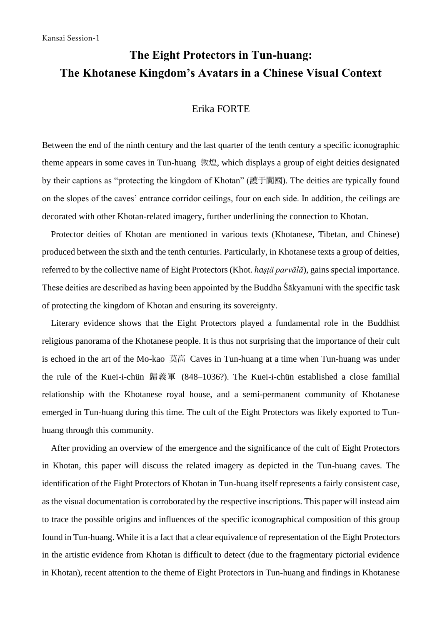## **The Eight Protectors in Tun-huang: The Khotanese Kingdom's Avatars in a Chinese Visual Context**

## Erika FORTE

Between the end of the ninth century and the last quarter of the tenth century a specific iconographic theme appears in some caves in Tun-huang 敦煌, which displays a group of eight deities designated by their captions as "protecting the kingdom of Khotan" (護于闐國). The deities are typically found on the slopes of the caves' entrance corridor ceilings, four on each side. In addition, the ceilings are decorated with other Khotan-related imagery, further underlining the connection to Khotan.

Protector deities of Khotan are mentioned in various texts (Khotanese, Tibetan, and Chinese) produced between the sixth and the tenth centuries. Particularly, in Khotanese texts a group of deities, referred to by the collective name of Eight Protectors (Khot. *haṣṭä parvālā*), gains special importance. These deities are described as having been appointed by the Buddha Śākyamuni with the specific task of protecting the kingdom of Khotan and ensuring its sovereignty.

 Literary evidence shows that the Eight Protectors played a fundamental role in the Buddhist religious panorama of the Khotanese people. It is thus not surprising that the importance of their cult is echoed in the art of the Mo-kao 莫高 Caves in Tun-huang at a time when Tun-huang was under the rule of the Kuei-i-chün 歸義軍 (848–1036?). The Kuei-i-chün established a close familial relationship with the Khotanese royal house, and a semi-permanent community of Khotanese emerged in Tun-huang during this time. The cult of the Eight Protectors was likely exported to Tunhuang through this community.

 After providing an overview of the emergence and the significance of the cult of Eight Protectors in Khotan, this paper will discuss the related imagery as depicted in the Tun-huang caves. The identification of the Eight Protectors of Khotan in Tun-huang itself represents a fairly consistent case, as the visual documentation is corroborated by the respective inscriptions. This paper will instead aim to trace the possible origins and influences of the specific iconographical composition of this group found in Tun-huang. While it is a fact that a clear equivalence of representation of the Eight Protectors in the artistic evidence from Khotan is difficult to detect (due to the fragmentary pictorial evidence in Khotan), recent attention to the theme of Eight Protectors in Tun-huang and findings in Khotanese